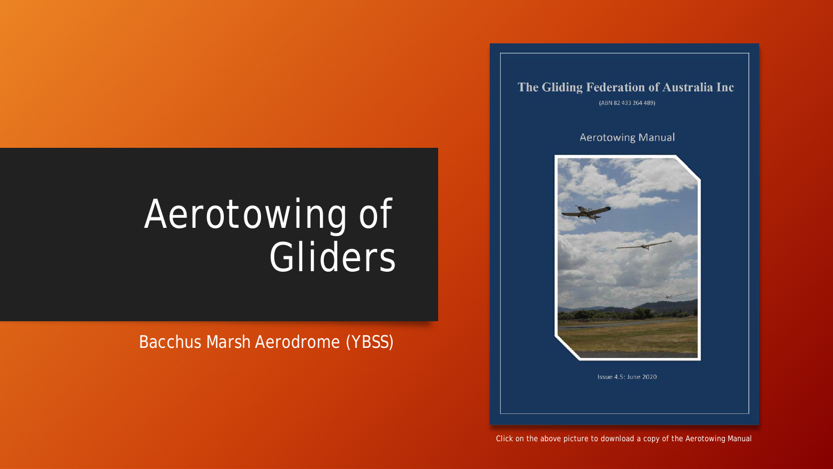# Aerotowing of Gliders

Bacchus Marsh Aerodrome (YBSS)

The Gliding Federation of Australia Inc (ABN 82 433 264 489)

#### **Aerotowing Manual**



Issue 4.5: June 2020

Click on the above picture to download a copy of the Aerotowing Manual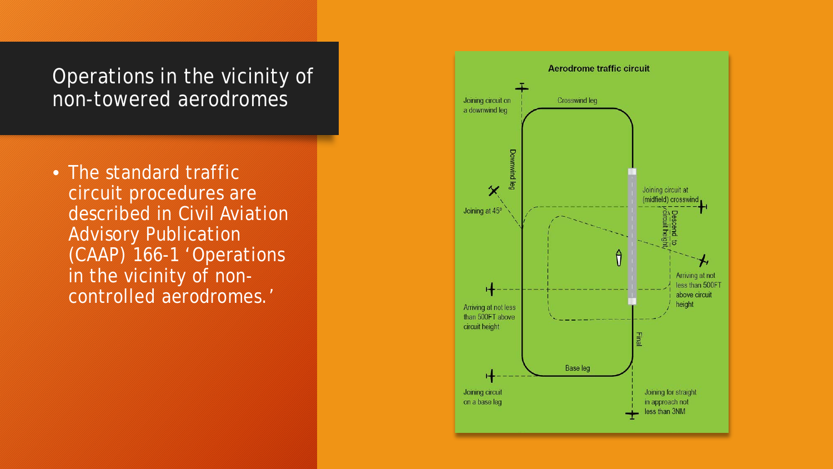#### Operations in the vicinity of non-towered aerodromes

• The standard traffic circuit procedures are described in Civil Aviation Advisory Publication (CAAP) 166-1 'Operations in the vicinity of noncontrolled aerodromes.'

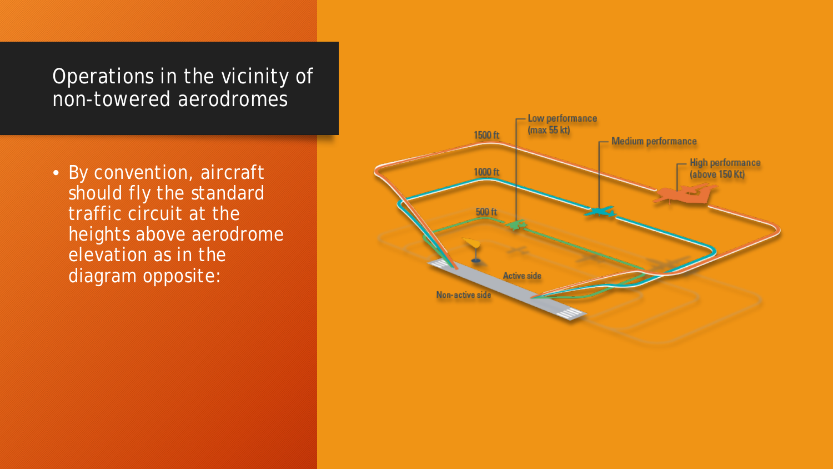Operations in the vicinity of non-towered aerodromes

• By convention, aircraft should fly the standard traffic circuit at the heights above aerodrome elevation as in the diagram opposite:

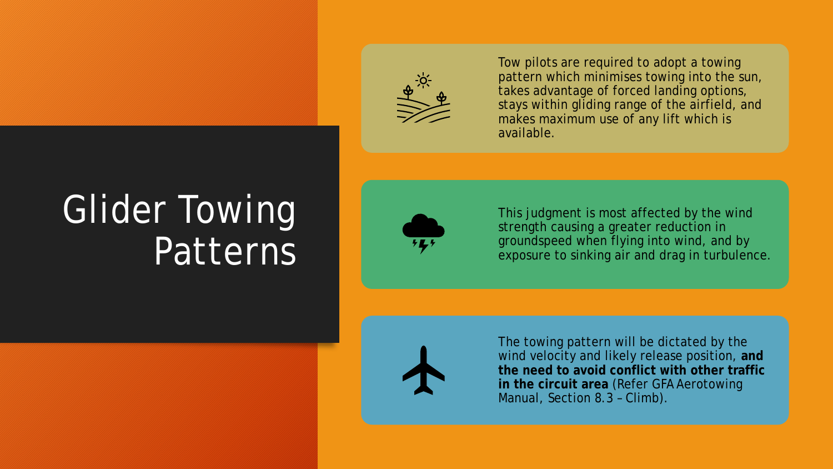

Tow pilots are required to adopt a towing pattern which minimises towing into the sun, takes advantage of forced landing options, stays within gliding range of the airfield, and makes maximum use of any lift which is available.

## **Glider Towing** Patterns



This judgment is most affected by the wind strength causing a greater reduction in groundspeed when flying into wind, and by exposure to sinking air and drag in turbulence.



The towing pattern will be dictated by the wind velocity and likely release position, **and the need to avoid conflict with other traffic in the circuit area** (Refer GFA Aerotowing Manual, Section 8.3 – Climb).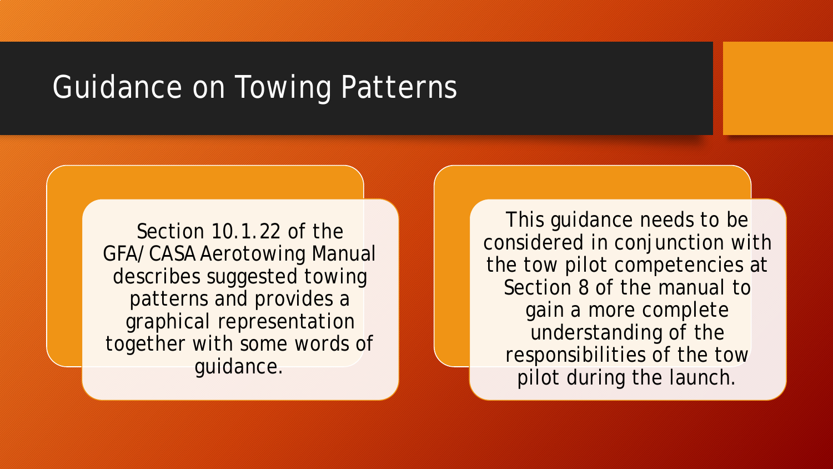## Guidance on Towing Patterns

Section 10.1.22 of the GFA/CASA Aerotowing Manual describes suggested towing patterns and provides a graphical representation together with some words of guidance.

This guidance needs to be considered in conjunction with the tow pilot competencies at Section 8 of the manual to gain a more complete understanding of the responsibilities of the tow pilot during the launch.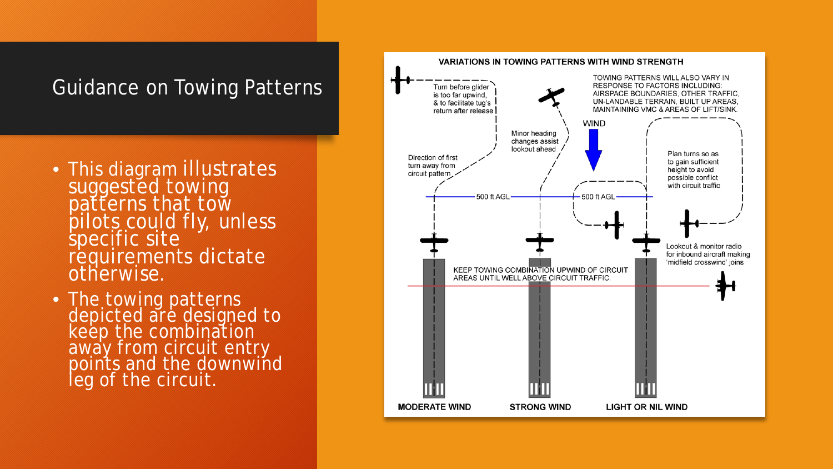### Guidance on Towing Patterns

- This diagram illustrates suggested towing patterns that tow pilots could fly, unless specific site requirements dictate otherwise.
- The towing patterns depicted are designed to keep the combination away from circuit entry points and the downwind leg of the circuit.

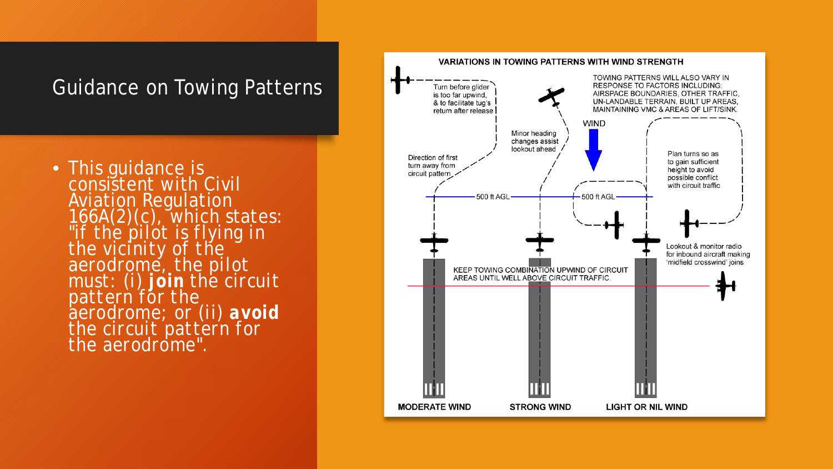#### Guidance on Towing Patterns

• This guidance is consistent with Civil Aviation Regulation 166A(2)(c), which states: *"if the pilot is flying in the vicinity of the aerodrome, the pilot must: (i) join the circuit pattern for the aerodrome; or (ii) avoid* the circuit pattern for *the aerodrome".*

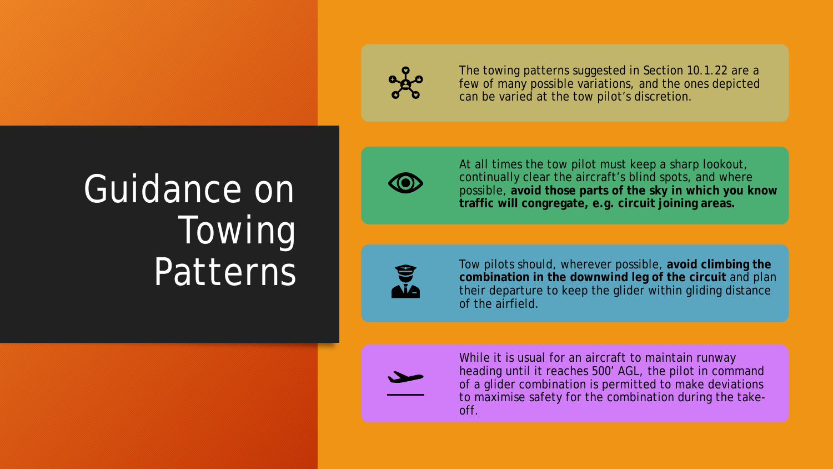

The towing patterns suggested in Section 10.1.22 are a few of many possible variations, and the ones depicted can be varied at the tow pilot's discretion.

## Guidance on Towing Patterns



At all times the tow pilot must keep a sharp lookout, continually clear the aircraft's blind spots, and where possible, **avoid those parts of the sky in which you know traffic will congregate, e.g. circuit joining areas.**



Tow pilots should, wherever possible, **avoid climbing the combination in the downwind leg of the circuit** and plan their departure to keep the glider within gliding distance of the airfield.



While it is usual for an aircraft to maintain runway heading until it reaches 500' AGL, the pilot in command of a glider combination is permitted to make deviations to maximise safety for the combination during the takeoff.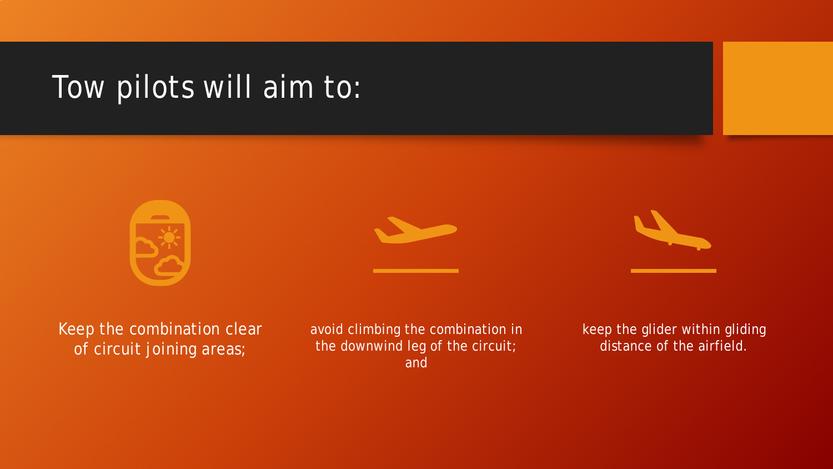## Tow pilots will aim to:







Keep the combination clear of circuit joining areas;

avoid climbing the combination in the downwind leg of the circuit; and

keep the glider within gliding distance of the airfield.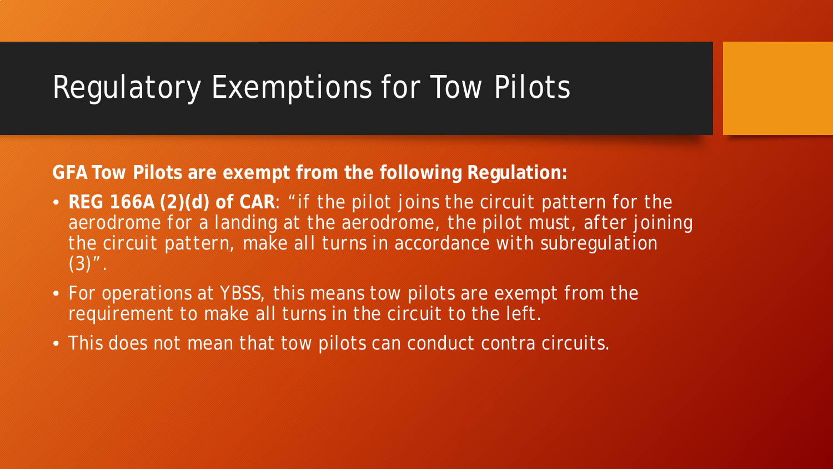### Regulatory Exemptions for Tow Pilots

**GFA Tow Pilots are exempt from the following Regulation:**

- **REG 166A (2)(d) of CAR**: *"if the pilot joins the circuit pattern for the*  aerodrome for a landing at the aerodrome, the pilot must, after joining *the circuit pattern, make all turns in accordance with subregulation (3)".*
- For operations at YBSS, this means tow pilots are exempt from the requirement to make all turns in the circuit to the left.
- This does not mean that tow pilots can conduct contra circuits.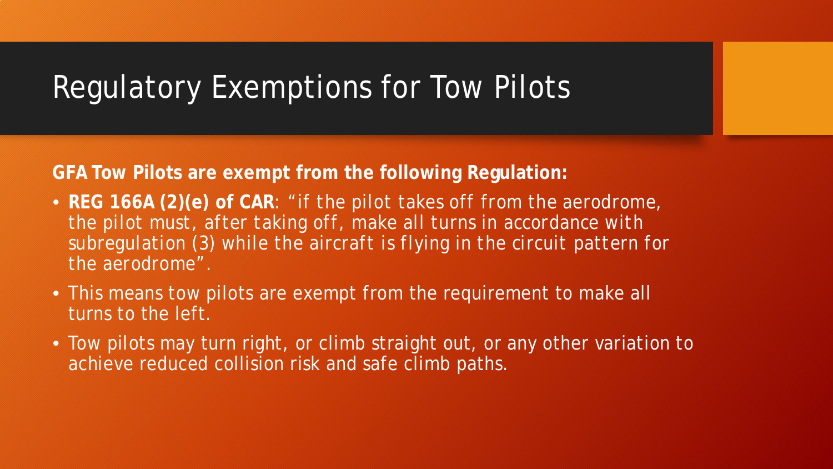## Regulatory Exemptions for Tow Pilots

**GFA Tow Pilots are exempt from the following Regulation:**

- **REG 166A (2)(e) of CAR**: *"if the pilot takes off from the aerodrome, the pilot must, after taking off, make all turns in accordance with subregulation (3) while the aircraft is flying in the circuit pattern for the aerodrome"*.
- This means tow pilots are exempt from the requirement to make all turns to the left.
- Tow pilots may turn right, or climb straight out, or any other variation to achieve reduced collision risk and safe climb paths.